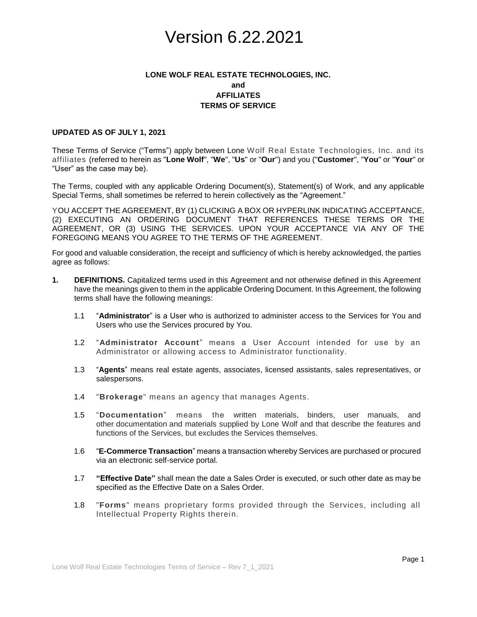## **LONE WOLF REAL ESTATE TECHNOLOGIES, INC. and AFFILIATES TERMS OF SERVICE**

### **UPDATED AS OF JULY 1, 2021**

These Terms of Service ("Terms") apply between Lone Wolf Real Estate Technologies, Inc. and its affiliates (referred to herein as "**Lone Wolf**", "**We**", "**Us**" or "**Our**") and you ("**Customer**", "**You**" or "**Your**" or "User" as the case may be).

The Terms, coupled with any applicable Ordering Document(s), Statement(s) of Work, and any applicable Special Terms, shall sometimes be referred to herein collectively as the "Agreement."

YOU ACCEPT THE AGREEMENT, BY (1) CLICKING A BOX OR HYPERLINK INDICATING ACCEPTANCE, (2) EXECUTING AN ORDERING DOCUMENT THAT REFERENCES THESE TERMS OR THE AGREEMENT, OR (3) USING THE SERVICES. UPON YOUR ACCEPTANCE VIA ANY OF THE FOREGOING MEANS YOU AGREE TO THE TERMS OF THE AGREEMENT.

For good and valuable consideration, the receipt and sufficiency of which is hereby acknowledged, the parties agree as follows:

- **1. DEFINITIONS.** Capitalized terms used in this Agreement and not otherwise defined in this Agreement have the meanings given to them in the applicable Ordering Document. In this Agreement, the following terms shall have the following meanings:
	- 1.1 "**Administrator**" is a User who is authorized to administer access to the Services for You and Users who use the Services procured by You.
	- 1.2 "**Administrator Account**" means a User Account intended for use by an Administrator or allowing access to Administrator functionality.
	- 1.3 "**Agents**" means real estate agents, associates, licensed assistants, sales representatives, or salespersons.
	- 1.4 "**Brokerage**" means an agency that manages Agents.
	- 1.5 "**Documentation**" means the written materials, binders, user manuals, and other documentation and materials supplied by Lone Wolf and that describe the features and functions of the Services, but excludes the Services themselves.
	- 1.6 "**E-Commerce Transaction**" means a transaction whereby Services are purchased or procured via an electronic self-service portal.
	- 1.7 **"Effective Date"** shall mean the date a Sales Order is executed, or such other date as may be specified as the Effective Date on a Sales Order.
	- 1.8 "**Forms**" means proprietary forms provided through the Services, including all Intellectual Property Rights therein.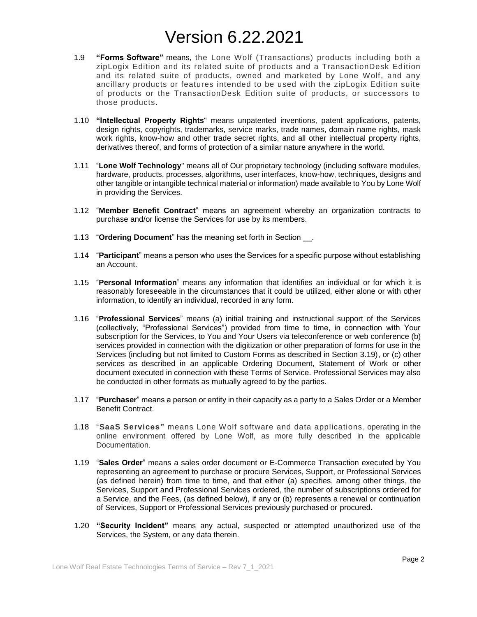- 1.9 **"Forms Software"** means, the Lone Wolf (Transactions) products including both a zipLogix Edition and its related suite of products and a TransactionDesk Ed ition and its related suite of products, owned and marketed by Lone Wolf, and any ancillary products or features intended to be used with the zipLogix Edition suite of products or the TransactionDesk Edition suite of products, or successors to those products.
- 1.10 **"Intellectual Property Rights**" means unpatented inventions, patent applications, patents, design rights, copyrights, trademarks, service marks, trade names, domain name rights, mask work rights, know-how and other trade secret rights, and all other intellectual property rights, derivatives thereof, and forms of protection of a similar nature anywhere in the world.
- 1.11 "**Lone Wolf Technology**" means all of Our proprietary technology (including software modules, hardware, products, processes, algorithms, user interfaces, know-how, techniques, designs and other tangible or intangible technical material or information) made available to You by Lone Wolf in providing the Services.
- 1.12 "**Member Benefit Contract**" means an agreement whereby an organization contracts to purchase and/or license the Services for use by its members.
- 1.13 "**Ordering Document**" has the meaning set forth in Section \_\_.
- 1.14 "**Participant**" means a person who uses the Services for a specific purpose without establishing an Account.
- 1.15 "**Personal Information**" means any information that identifies an individual or for which it is reasonably foreseeable in the circumstances that it could be utilized, either alone or with other information, to identify an individual, recorded in any form.
- 1.16 "**Professional Services**" means (a) initial training and instructional support of the Services (collectively, "Professional Services") provided from time to time, in connection with Your subscription for the Services, to You and Your Users via teleconference or web conference (b) services provided in connection with the digitization or other preparation of forms for use in the Services (including but not limited to Custom Forms as described in Section 3.19), or (c) other services as described in an applicable Ordering Document, Statement of Work or other document executed in connection with these Terms of Service. Professional Services may also be conducted in other formats as mutually agreed to by the parties.
- 1.17 "**Purchaser**" means a person or entity in their capacity as a party to a Sales Order or a Member Benefit Contract.
- 1.18 "**SaaS Services"** means Lone Wolf software and data applications, operating in the online environment offered by Lone Wolf, as more fully described in the applicable Documentation.
- 1.19 "**Sales Order**" means a sales order document or E-Commerce Transaction executed by You representing an agreement to purchase or procure Services, Support, or Professional Services (as defined herein) from time to time, and that either (a) specifies, among other things, the Services, Support and Professional Services ordered, the number of subscriptions ordered for a Service, and the Fees, (as defined below), if any or (b) represents a renewal or continuation of Services, Support or Professional Services previously purchased or procured.
- 1.20 **"Security Incident"** means any actual, suspected or attempted unauthorized use of the Services, the System, or any data therein.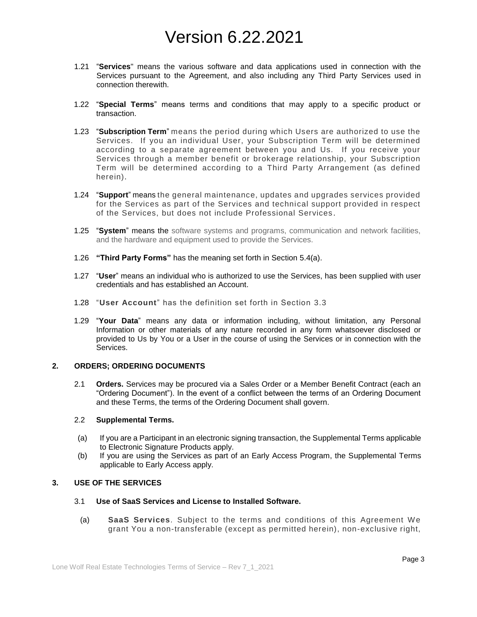- 1.21 "**Services**" means the various software and data applications used in connection with the Services pursuant to the Agreement, and also including any Third Party Services used in connection therewith.
- 1.22 "**Special Terms**" means terms and conditions that may apply to a specific product or transaction.
- 1.23 "**Subscription Term**" means the period during which Users are authorized to use the Services. If you an individual User, your Subscription Term will be determined according to a separate agreement between you and Us. If you receive your Services through a member benefit or brokerage relationship, your Subscription Term will be determined according to a Third Party Arrangement (as defined herein).
- 1.24 "**Support**" means the general maintenance, updates and upgrades services provided for the Services as part of the Services and technical support provided in respect of the Services, but does not include Professional Services .
- 1.25 "**System**" means the software systems and programs, communication and network facilities, and the hardware and equipment used to provide the Services.
- 1.26 **"Third Party Forms"** has the meaning set forth in Section 5.4(a).
- 1.27 "**User**" means an individual who is authorized to use the Services, has been supplied with user credentials and has established an Account.
- 1.28 "**User Account**" has the definition set forth in Section 3.3
- 1.29 "**Your Data**" means any data or information including, without limitation, any Personal Information or other materials of any nature recorded in any form whatsoever disclosed or provided to Us by You or a User in the course of using the Services or in connection with the Services.

### **2. ORDERS; ORDERING DOCUMENTS**

2.1 **Orders.** Services may be procured via a Sales Order or a Member Benefit Contract (each an "Ordering Document"). In the event of a conflict between the terms of an Ordering Document and these Terms, the terms of the Ordering Document shall govern.

#### 2.2 **Supplemental Terms.**

- (a) If you are a Participant in an electronic signing transaction, the Supplemental Terms applicable to Electronic Signature Products apply.
- (b) If you are using the Services as part of an Early Access Program, the Supplemental Terms applicable to Early Access apply.

### **3. USE OF THE SERVICES**

- 3.1 **Use of SaaS Services and License to Installed Software.** 
	- (a) **SaaS Services**. Subject to the terms and conditions of this Agreement We grant You a non-transferable (except as permitted herein), non-exclusive right,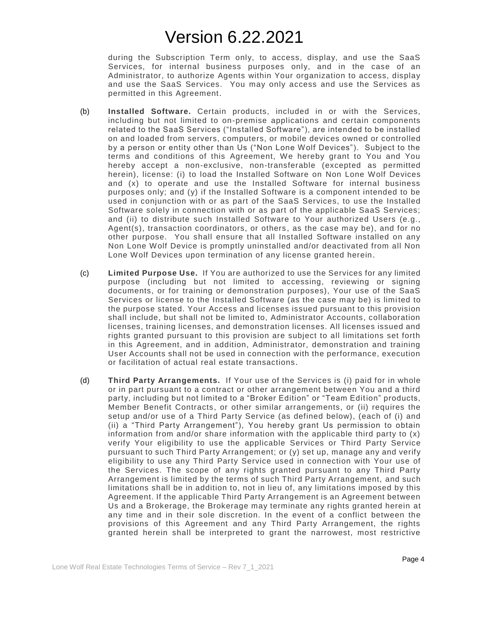during the Subscription Term only, to access, display, and use the SaaS Services, for internal business purposes only, and in the case of an Administrator, to authorize Agents within Your organization to access, display and use the SaaS Services. You may only access and use the Services as permitted in this Agreement.

- (b) **Installed Software.** Certain products, included in or with the Services, including but not limited to on-premise applications and certain components related to the SaaS Services ("Installed Software"), are intended to be installed on and loaded from servers, computers, or mobile devices owned or controlled by a person or entity other than Us ("Non Lone Wolf Devices"). Subject to the terms and conditions of this Agreement, We hereby grant to You and You hereby accept a non-exclusive, non-transferable (excepted as permitted herein), license: (i) to load the Installed Software on Non Lone Wolf Devices and (x) to operate and use the Installed Software for internal business purposes only; and (y) if the Installed Software is a component intended to be used in conjunction with or as part of the SaaS Services, to use the Installed Software solely in connection with or as part of the applicable SaaS Services; and (ii) to distribute such Installed Software to Your authorized Users (e.g., Agent(s), transaction coordinators, or others, as the case may be), and for no other purpose. You shall ensure that all Installed Software installed on any Non Lone Wolf Device is promptly uninstalled and/or deactivated from all Non Lone Wolf Devices upon termination of any license granted herein.
- (c) **Limited Purpose Use.** If You are authorized to use the Services for any limited purpose (including but not limited to accessing, reviewing or signing documents, or for training or demonstration purposes), Your use of the SaaS Services or license to the Installed Software (as the case may be) is limited to the purpose stated. Your Access and licenses issued pursuant to this provision shall include, but shall not be limited to, Administrator Accounts, collaboration licenses, training licenses, and demonstration licenses. All licenses issued and rights granted pursuant to this provision are subject to all limitations set forth in this Agreement, and in addition, Administrator, demonstration and training User Accounts shall not be used in connection with the performance, execution or facilitation of actual real estate transactions.
- (d) **Third Party Arrangements.** If Your use of the Services is (i) paid for in whole or in part pursuant to a contract or other arrangement between You and a third party, including but not limited to a "Broker Edition" or "Team Edition" products, Member Benefit Contracts, or other similar arrangements, or (ii) requires the setup and/or use of a Third Party Service (as defined below), (each of (i) and (ii) a "Third Party Arrangement"), You hereby grant Us permission to obtain information from and/or share information with the applicable third party to  $(x)$ verify Your eligibility to use the applicable Services or Third Party Service pursuant to such Third Party Arrangement; or (y) set up, manage any and verify eligibility to use any Third Party Service used in connection with Your use of the Services. The scope of any rights granted pursuant to any Third Party Arrangement is limited by the terms of such Third Party Arrangement, and such limitations shall be in addition to, not in lieu of, any limitations imposed by this Agreement. If the applicable Third Party Arrangement is an Agreement between Us and a Brokerage, the Brokerage may terminate any rights granted herein at any time and in their sole discretion. In the event of a conflict between the provisions of this Agreement and any Third Party Arrangement, the rights granted herein shall be interpreted to grant the narrowest, most restrictive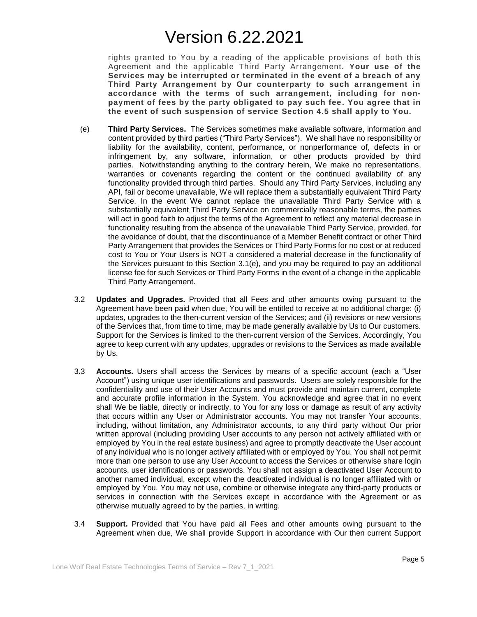rights granted to You by a reading of the applicable provisions of both this Agreement and the applicable Third Party Arrangement. **Your use of the Services may be interrupted or terminated in the event of a breach of any Third Party Arrangement by Our counterparty to such arrangement in accordance with the terms of such arrangement, including for nonpayment of fees by the party obligated to pay such fee. You agree that in the event of such suspension of service Section 4.5 shall apply to You.**

- (e) **Third Party Services.** The Services sometimes make available software, information and content provided by third parties ("Third Party Services"). We shall have no responsibility or liability for the availability, content, performance, or nonperformance of, defects in or infringement by, any software, information, or other products provided by third parties. Notwithstanding anything to the contrary herein, We make no representations, warranties or covenants regarding the content or the continued availability of any functionality provided through third parties. Should any Third Party Services, including any API, fail or become unavailable, We will replace them a substantially equivalent Third Party Service. In the event We cannot replace the unavailable Third Party Service with a substantially equivalent Third Party Service on commercially reasonable terms, the parties will act in good faith to adjust the terms of the Agreement to reflect any material decrease in functionality resulting from the absence of the unavailable Third Party Service, provided, for the avoidance of doubt, that the discontinuance of a Member Benefit contract or other Third Party Arrangement that provides the Services or Third Party Forms for no cost or at reduced cost to You or Your Users is NOT a considered a material decrease in the functionality of the Services pursuant to this Section 3.1(e), and you may be required to pay an additional license fee for such Services or Third Party Forms in the event of a change in the applicable Third Party Arrangement.
- 3.2 **Updates and Upgrades.** Provided that all Fees and other amounts owing pursuant to the Agreement have been paid when due, You will be entitled to receive at no additional charge: (i) updates, upgrades to the then-current version of the Services; and (ii) revisions or new versions of the Services that, from time to time, may be made generally available by Us to Our customers. Support for the Services is limited to the then-current version of the Services. Accordingly, You agree to keep current with any updates, upgrades or revisions to the Services as made available by Us.
- 3.3 **Accounts.** Users shall access the Services by means of a specific account (each a "User Account") using unique user identifications and passwords. Users are solely responsible for the confidentiality and use of their User Accounts and must provide and maintain current, complete and accurate profile information in the System. You acknowledge and agree that in no event shall We be liable, directly or indirectly, to You for any loss or damage as result of any activity that occurs within any User or Administrator accounts. You may not transfer Your accounts, including, without limitation, any Administrator accounts, to any third party without Our prior written approval (including providing User accounts to any person not actively affiliated with or employed by You in the real estate business) and agree to promptly deactivate the User account of any individual who is no longer actively affiliated with or employed by You. You shall not permit more than one person to use any User Account to access the Services or otherwise share login accounts, user identifications or passwords. You shall not assign a deactivated User Account to another named individual, except when the deactivated individual is no longer affiliated with or employed by You. You may not use, combine or otherwise integrate any third-party products or services in connection with the Services except in accordance with the Agreement or as otherwise mutually agreed to by the parties, in writing.
- 3.4 **Support.** Provided that You have paid all Fees and other amounts owing pursuant to the Agreement when due, We shall provide Support in accordance with Our then current Support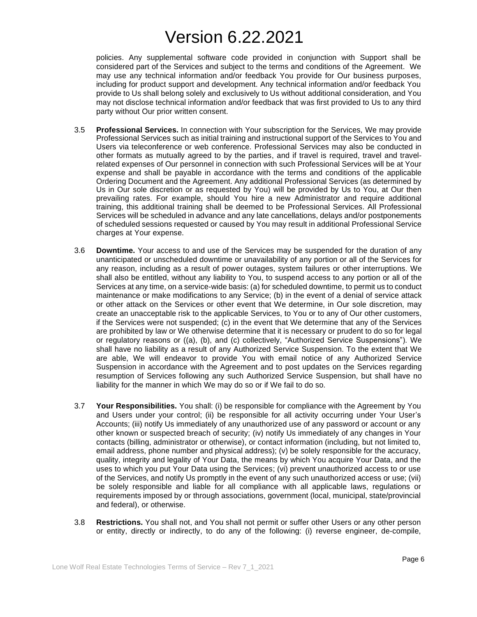policies. Any supplemental software code provided in conjunction with Support shall be considered part of the Services and subject to the terms and conditions of the Agreement. We may use any technical information and/or feedback You provide for Our business purposes, including for product support and development. Any technical information and/or feedback You provide to Us shall belong solely and exclusively to Us without additional consideration, and You may not disclose technical information and/or feedback that was first provided to Us to any third party without Our prior written consent.

- 3.5 **Professional Services.** In connection with Your subscription for the Services, We may provide Professional Services such as initial training and instructional support of the Services to You and Users via teleconference or web conference. Professional Services may also be conducted in other formats as mutually agreed to by the parties, and if travel is required, travel and travelrelated expenses of Our personnel in connection with such Professional Services will be at Your expense and shall be payable in accordance with the terms and conditions of the applicable Ordering Document and the Agreement. Any additional Professional Services (as determined by Us in Our sole discretion or as requested by You) will be provided by Us to You, at Our then prevailing rates. For example, should You hire a new Administrator and require additional training, this additional training shall be deemed to be Professional Services. All Professional Services will be scheduled in advance and any late cancellations, delays and/or postponements of scheduled sessions requested or caused by You may result in additional Professional Service charges at Your expense.
- 3.6 **Downtime.** Your access to and use of the Services may be suspended for the duration of any unanticipated or unscheduled downtime or unavailability of any portion or all of the Services for any reason, including as a result of power outages, system failures or other interruptions. We shall also be entitled, without any liability to You, to suspend access to any portion or all of the Services at any time, on a service-wide basis: (a) for scheduled downtime, to permit us to conduct maintenance or make modifications to any Service; (b) in the event of a denial of service attack or other attack on the Services or other event that We determine, in Our sole discretion, may create an unacceptable risk to the applicable Services, to You or to any of Our other customers, if the Services were not suspended; (c) in the event that We determine that any of the Services are prohibited by law or We otherwise determine that it is necessary or prudent to do so for legal or regulatory reasons or ((a), (b), and (c) collectively, "Authorized Service Suspensions"). We shall have no liability as a result of any Authorized Service Suspension. To the extent that We are able, We will endeavor to provide You with email notice of any Authorized Service Suspension in accordance with the Agreement and to post updates on the Services regarding resumption of Services following any such Authorized Service Suspension, but shall have no liability for the manner in which We may do so or if We fail to do so.
- 3.7 **Your Responsibilities.** You shall: (i) be responsible for compliance with the Agreement by You and Users under your control; (ii) be responsible for all activity occurring under Your User's Accounts; (iii) notify Us immediately of any unauthorized use of any password or account or any other known or suspected breach of security; (iv) notify Us immediately of any changes in Your contacts (billing, administrator or otherwise), or contact information (including, but not limited to, email address, phone number and physical address); (v) be solely responsible for the accuracy, quality, integrity and legality of Your Data, the means by which You acquire Your Data, and the uses to which you put Your Data using the Services; (vi) prevent unauthorized access to or use of the Services, and notify Us promptly in the event of any such unauthorized access or use; (vii) be solely responsible and liable for all compliance with all applicable laws, regulations or requirements imposed by or through associations, government (local, municipal, state/provincial and federal), or otherwise.
- 3.8 **Restrictions.** You shall not, and You shall not permit or suffer other Users or any other person or entity, directly or indirectly, to do any of the following: (i) reverse engineer, de-compile,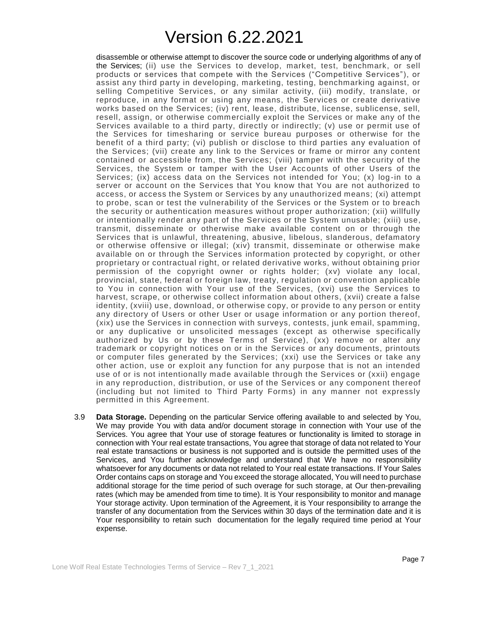disassemble or otherwise attempt to discover the source code or underlying algorithms of any of the Services; (ii) use the Services to develop, market, test, benchmark, or sell products or services that compete with the Services ("Competitive Services"), or assist any third party in developing, marketing, testing, benchmarking against, or selling Competitive Services, or any similar activity, (iii) modify, translate, or reproduce, in any format or using any means, the Services or create derivative works based on the Services; (iv) rent, lease, distribute, license, sublicense, sell, resell, assign, or otherwise commercially exploit the Services or make any of the Services available to a third party, directly or indirectly; (v) use or permit use of the Services for timesharing or service bureau purposes or otherwise for the benefit of a third party; (vi) publish or disclose to third parties any evaluation of the Services; (vii) create any link to the Services or frame or mirror any content contained or accessible from, the Services; (viii) tamper with the security of the Services, the System or tamper with the User Acc ounts of other Users of the Services; (ix) access data on the Services not intended for You; (x) log -in to a server or account on the Services that You know that You are not authorized to access, or access the System or Services by any unauthorized means; (xi) attempt to probe, scan or test the vulnerability of the Services or the System or to breach the security or authentication measures without proper authorization; (xii) willfully or intentionally render any part of the Services or the System unusable; (xiii) use, transmit, disseminate or otherwise make available content on or through the Services that is unlawful, threatening, abusive, libelous, slanderous, defamatory or otherwise offensive or illegal; (xiv) transmit, disseminate or otherwise make available on or through the Services information protected by copyright, or other proprietary or contractual right, or related derivative works, without obtaining prior permission of the copyright owner or rights holder; (xv) violate any local, provincial, state, federal or foreign law, treaty, regulation or convention applicable to You in connection with Your use of the Services, (xvi) use the Services to harvest, scrape, or otherwise collect information about others, (xvii) create a false identity, (xviii) use, download, or otherwise copy, or provide to any person or entity any directory of Users or other User or usage information or any portion thereof, (xix) use the Services in connection with surveys, contests, junk email, spamming, or any duplicative or unsolicited messages (except as otherwise specifically authorized by Us or by these Terms of Service), (xx) remove or alter any trademark or copyright notices on or in the Services or any documents, printouts or computer files generated by the Services; (xxi) use the Services or take any other action, use or exploit any function for any purpose that is not an intended use of or is not intentionally made available through the Services or (xxii) engage in any reproduction, distribution, or use of the Services or any component thereof (including but not limited to Third Party Forms) in any manner not expressly permitted in this Agreement.

3.9 **Data Storage.** Depending on the particular Service offering available to and selected by You, We may provide You with data and/or document storage in connection with Your use of the Services. You agree that Your use of storage features or functionality is limited to storage in connection with Your real estate transactions, You agree that storage of data not related to Your real estate transactions or business is not supported and is outside the permitted uses of the Services, and You further acknowledge and understand that We have no responsibility whatsoever for any documents or data not related to Your real estate transactions. If Your Sales Order contains caps on storage and You exceed the storage allocated, You will need to purchase additional storage for the time period of such overage for such storage, at Our then-prevailing rates (which may be amended from time to time). It is Your responsibility to monitor and manage Your storage activity. Upon termination of the Agreement, it is Your responsibility to arrange the transfer of any documentation from the Services within 30 days of the termination date and it is Your responsibility to retain such documentation for the legally required time period at Your expense.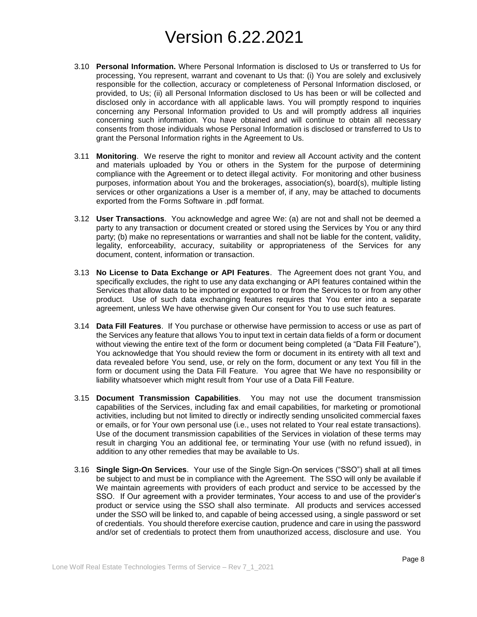- 3.10 **Personal Information.** Where Personal Information is disclosed to Us or transferred to Us for processing, You represent, warrant and covenant to Us that: (i) You are solely and exclusively responsible for the collection, accuracy or completeness of Personal Information disclosed, or provided, to Us; (ii) all Personal Information disclosed to Us has been or will be collected and disclosed only in accordance with all applicable laws. You will promptly respond to inquiries concerning any Personal Information provided to Us and will promptly address all inquiries concerning such information. You have obtained and will continue to obtain all necessary consents from those individuals whose Personal Information is disclosed or transferred to Us to grant the Personal Information rights in the Agreement to Us.
- 3.11 **Monitoring**. We reserve the right to monitor and review all Account activity and the content and materials uploaded by You or others in the System for the purpose of determining compliance with the Agreement or to detect illegal activity. For monitoring and other business purposes, information about You and the brokerages, association(s), board(s), multiple listing services or other organizations a User is a member of, if any, may be attached to documents exported from the Forms Software in .pdf format.
- 3.12 **User Transactions**. You acknowledge and agree We: (a) are not and shall not be deemed a party to any transaction or document created or stored using the Services by You or any third party; (b) make no representations or warranties and shall not be liable for the content, validity, legality, enforceability, accuracy, suitability or appropriateness of the Services for any document, content, information or transaction.
- 3.13 **No License to Data Exchange or API Features**. The Agreement does not grant You, and specifically excludes, the right to use any data exchanging or API features contained within the Services that allow data to be imported or exported to or from the Services to or from any other product. Use of such data exchanging features requires that You enter into a separate agreement, unless We have otherwise given Our consent for You to use such features.
- 3.14 **Data Fill Features**. If You purchase or otherwise have permission to access or use as part of the Services any feature that allows You to input text in certain data fields of a form or document without viewing the entire text of the form or document being completed (a "Data Fill Feature"), You acknowledge that You should review the form or document in its entirety with all text and data revealed before You send, use, or rely on the form, document or any text You fill in the form or document using the Data Fill Feature. You agree that We have no responsibility or liability whatsoever which might result from Your use of a Data Fill Feature.
- 3.15 **Document Transmission Capabilities**. You may not use the document transmission capabilities of the Services, including fax and email capabilities, for marketing or promotional activities, including but not limited to directly or indirectly sending unsolicited commercial faxes or emails, or for Your own personal use (i.e., uses not related to Your real estate transactions). Use of the document transmission capabilities of the Services in violation of these terms may result in charging You an additional fee, or terminating Your use (with no refund issued), in addition to any other remedies that may be available to Us.
- 3.16 **Single Sign-On Services**. Your use of the Single Sign-On services ("SSO") shall at all times be subject to and must be in compliance with the Agreement. The SSO will only be available if We maintain agreements with providers of each product and service to be accessed by the SSO. If Our agreement with a provider terminates, Your access to and use of the provider's product or service using the SSO shall also terminate. All products and services accessed under the SSO will be linked to, and capable of being accessed using, a single password or set of credentials. You should therefore exercise caution, prudence and care in using the password and/or set of credentials to protect them from unauthorized access, disclosure and use. You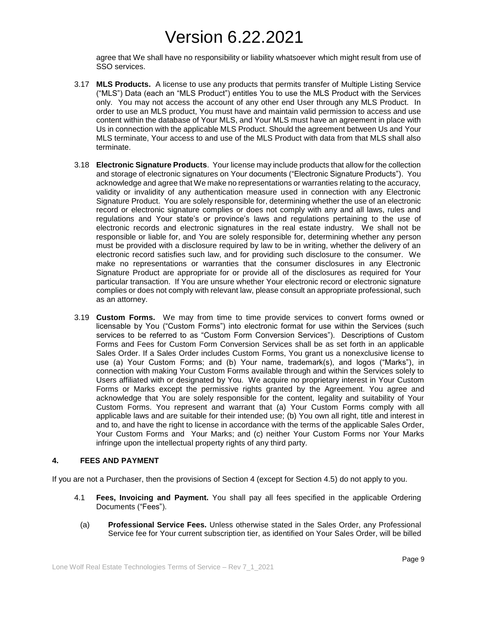agree that We shall have no responsibility or liability whatsoever which might result from use of SSO services.

- 3.17 **MLS Products.** A license to use any products that permits transfer of Multiple Listing Service ("MLS") Data (each an "MLS Product") entitles You to use the MLS Product with the Services only. You may not access the account of any other end User through any MLS Product. In order to use an MLS product, You must have and maintain valid permission to access and use content within the database of Your MLS, and Your MLS must have an agreement in place with Us in connection with the applicable MLS Product. Should the agreement between Us and Your MLS terminate, Your access to and use of the MLS Product with data from that MLS shall also terminate.
- 3.18 **Electronic Signature Products**. Your license may include products that allow for the collection and storage of electronic signatures on Your documents ("Electronic Signature Products"). You acknowledge and agree that We make no representations or warranties relating to the accuracy, validity or invalidity of any authentication measure used in connection with any Electronic Signature Product. You are solely responsible for, determining whether the use of an electronic record or electronic signature complies or does not comply with any and all laws, rules and regulations and Your state's or province's laws and regulations pertaining to the use of electronic records and electronic signatures in the real estate industry. We shall not be responsible or liable for, and You are solely responsible for, determining whether any person must be provided with a disclosure required by law to be in writing, whether the delivery of an electronic record satisfies such law, and for providing such disclosure to the consumer. We make no representations or warranties that the consumer disclosures in any Electronic Signature Product are appropriate for or provide all of the disclosures as required for Your particular transaction. If You are unsure whether Your electronic record or electronic signature complies or does not comply with relevant law, please consult an appropriate professional, such as an attorney.
- 3.19 **Custom Forms.** We may from time to time provide services to convert forms owned or licensable by You ("Custom Forms") into electronic format for use within the Services (such services to be referred to as "Custom Form Conversion Services"). Descriptions of Custom Forms and Fees for Custom Form Conversion Services shall be as set forth in an applicable Sales Order. If a Sales Order includes Custom Forms, You grant us a nonexclusive license to use (a) Your Custom Forms; and (b) Your name, trademark(s), and logos ("Marks"), in connection with making Your Custom Forms available through and within the Services solely to Users affiliated with or designated by You. We acquire no proprietary interest in Your Custom Forms or Marks except the permissive rights granted by the Agreement. You agree and acknowledge that You are solely responsible for the content, legality and suitability of Your Custom Forms. You represent and warrant that (a) Your Custom Forms comply with all applicable laws and are suitable for their intended use; (b) You own all right, title and interest in and to, and have the right to license in accordance with the terms of the applicable Sales Order, Your Custom Forms and Your Marks; and (c) neither Your Custom Forms nor Your Marks infringe upon the intellectual property rights of any third party.

### **4. FEES AND PAYMENT**

If you are not a Purchaser, then the provisions of Section 4 (except for Section 4.5) do not apply to you.

- 4.1 **Fees, Invoicing and Payment.** You shall pay all fees specified in the applicable Ordering Documents ("Fees").
	- (a) **Professional Service Fees.** Unless otherwise stated in the Sales Order, any Professional Service fee for Your current subscription tier, as identified on Your Sales Order, will be billed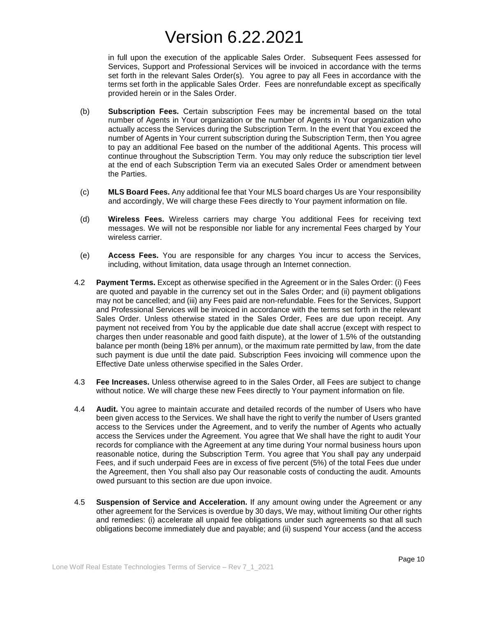in full upon the execution of the applicable Sales Order. Subsequent Fees assessed for Services, Support and Professional Services will be invoiced in accordance with the terms set forth in the relevant Sales Order(s). You agree to pay all Fees in accordance with the terms set forth in the applicable Sales Order. Fees are nonrefundable except as specifically provided herein or in the Sales Order.

- (b) **Subscription Fees.** Certain subscription Fees may be incremental based on the total number of Agents in Your organization or the number of Agents in Your organization who actually access the Services during the Subscription Term. In the event that You exceed the number of Agents in Your current subscription during the Subscription Term, then You agree to pay an additional Fee based on the number of the additional Agents. This process will continue throughout the Subscription Term. You may only reduce the subscription tier level at the end of each Subscription Term via an executed Sales Order or amendment between the Parties.
- (c) **MLS Board Fees.** Any additional fee that Your MLS board charges Us are Your responsibility and accordingly, We will charge these Fees directly to Your payment information on file.
- (d) **Wireless Fees.** Wireless carriers may charge You additional Fees for receiving text messages. We will not be responsible nor liable for any incremental Fees charged by Your wireless carrier.
- (e) **Access Fees.** You are responsible for any charges You incur to access the Services, including, without limitation, data usage through an Internet connection.
- 4.2 **Payment Terms.** Except as otherwise specified in the Agreement or in the Sales Order: (i) Fees are quoted and payable in the currency set out in the Sales Order; and (ii) payment obligations may not be cancelled; and (iii) any Fees paid are non-refundable. Fees for the Services, Support and Professional Services will be invoiced in accordance with the terms set forth in the relevant Sales Order. Unless otherwise stated in the Sales Order, Fees are due upon receipt. Any payment not received from You by the applicable due date shall accrue (except with respect to charges then under reasonable and good faith dispute), at the lower of 1.5% of the outstanding balance per month (being 18% per annum), or the maximum rate permitted by law, from the date such payment is due until the date paid. Subscription Fees invoicing will commence upon the Effective Date unless otherwise specified in the Sales Order.
- 4.3 **Fee Increases.** Unless otherwise agreed to in the Sales Order, all Fees are subject to change without notice. We will charge these new Fees directly to Your payment information on file.
- 4.4 **Audit.** You agree to maintain accurate and detailed records of the number of Users who have been given access to the Services. We shall have the right to verify the number of Users granted access to the Services under the Agreement, and to verify the number of Agents who actually access the Services under the Agreement. You agree that We shall have the right to audit Your records for compliance with the Agreement at any time during Your normal business hours upon reasonable notice, during the Subscription Term. You agree that You shall pay any underpaid Fees, and if such underpaid Fees are in excess of five percent (5%) of the total Fees due under the Agreement, then You shall also pay Our reasonable costs of conducting the audit. Amounts owed pursuant to this section are due upon invoice.
- 4.5 **Suspension of Service and Acceleration.** If any amount owing under the Agreement or any other agreement for the Services is overdue by 30 days, We may, without limiting Our other rights and remedies: (i) accelerate all unpaid fee obligations under such agreements so that all such obligations become immediately due and payable; and (ii) suspend Your access (and the access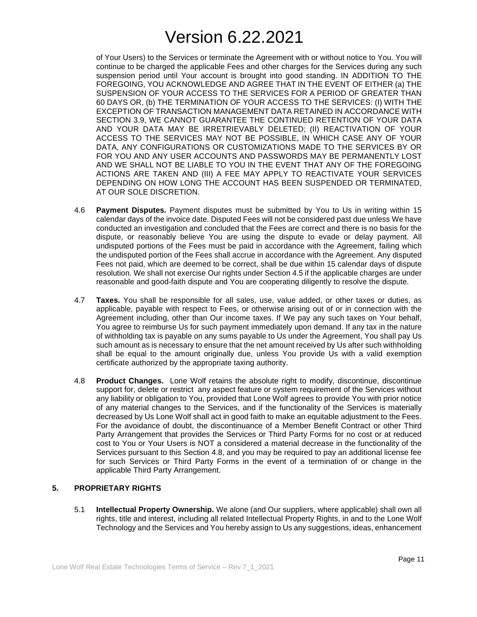of Your Users) to the Services or terminate the Agreement with or without notice to You. You will continue to be charged the applicable Fees and other charges for the Services during any such suspension period until Your account is brought into good standing. IN ADDITION TO THE FOREGOING, YOU ACKNOWLEDGE AND AGREE THAT IN THE EVENT OF EITHER (a) THE SUSPENSION OF YOUR ACCESS TO THE SERVICES FOR A PERIOD OF GREATER THAN 60 DAYS OR, (b) THE TERMINATION OF YOUR ACCESS TO THE SERVICES: (I) WITH THE EXCEPTION OF TRANSACTION MANAGEMENT DATA RETAINED IN ACCORDANCE WITH SECTION 3.9, WE CANNOT GUARANTEE THE CONTINUED RETENTION OF YOUR DATA AND YOUR DATA MAY BE IRRETRIEVABLY DELETED; (II) REACTIVATION OF YOUR ACCESS TO THE SERVICES MAY NOT BE POSSIBLE, IN WHICH CASE ANY OF YOUR DATA, ANY CONFIGURATIONS OR CUSTOMIZATIONS MADE TO THE SERVICES BY OR FOR YOU AND ANY USER ACCOUNTS AND PASSWORDS MAY BE PERMANENTLY LOST AND WE SHALL NOT BE LIABLE TO YOU IN THE EVENT THAT ANY OF THE FOREGOING ACTIONS ARE TAKEN AND (III) A FEE MAY APPLY TO REACTIVATE YOUR SERVICES DEPENDING ON HOW LONG THE ACCOUNT HAS BEEN SUSPENDED OR TERMINATED, AT OUR SOLE DISCRETION.

- 4.6 **Payment Disputes.** Payment disputes must be submitted by You to Us in writing within 15 calendar days of the invoice date. Disputed Fees will not be considered past due unless We have conducted an investigation and concluded that the Fees are correct and there is no basis for the dispute, or reasonably believe You are using the dispute to evade or delay payment. All undisputed portions of the Fees must be paid in accordance with the Agreement, failing which the undisputed portion of the Fees shall accrue in accordance with the Agreement. Any disputed Fees not paid, which are deemed to be correct, shall be due within 15 calendar days of dispute resolution. We shall not exercise Our rights under Section 4.5 if the applicable charges are under reasonable and good-faith dispute and You are cooperating diligently to resolve the dispute.
- 4.7 **Taxes.** You shall be responsible for all sales, use, value added, or other taxes or duties, as applicable, payable with respect to Fees, or otherwise arising out of or in connection with the Agreement including, other than Our income taxes. If We pay any such taxes on Your behalf, You agree to reimburse Us for such payment immediately upon demand. If any tax in the nature of withholding tax is payable on any sums payable to Us under the Agreement, You shall pay Us such amount as is necessary to ensure that the net amount received by Us after such withholding shall be equal to the amount originally due, unless You provide Us with a valid exemption certificate authorized by the appropriate taxing authority.
- 4.8 **Product Changes.** Lone Wolf retains the absolute right to modify, discontinue, discontinue support for, delete or restrict any aspect feature or system requirement of the Services without any liability or obligation to You, provided that Lone Wolf agrees to provide You with prior notice of any material changes to the Services, and if the functionality of the Services is materially decreased by Us Lone Wolf shall act in good faith to make an equitable adjustment to the Fees. For the avoidance of doubt, the discontinuance of a Member Benefit Contract or other Third Party Arrangement that provides the Services or Third Party Forms for no cost or at reduced cost to You or Your Users is NOT a considered a material decrease in the functionality of the Services pursuant to this Section 4.8, and you may be required to pay an additional license fee for such Services or Third Party Forms in the event of a termination of or change in the applicable Third Party Arrangement.

## **5. PROPRIETARY RIGHTS**

5.1 **Intellectual Property Ownership.** We alone (and Our suppliers, where applicable) shall own all rights, title and interest, including all related Intellectual Property Rights, in and to the Lone Wolf Technology and the Services and You hereby assign to Us any suggestions, ideas, enhancement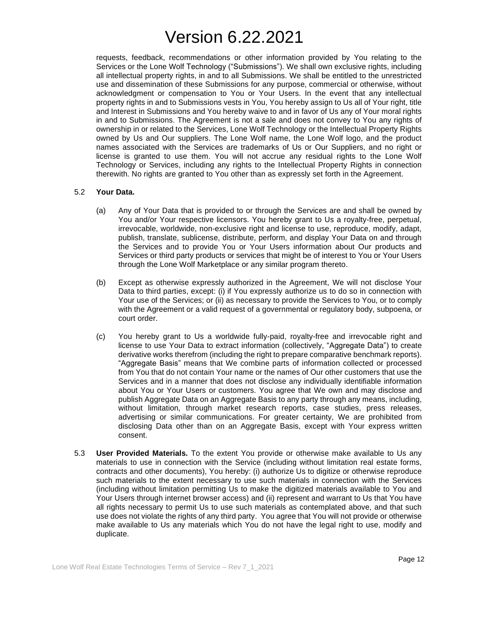requests, feedback, recommendations or other information provided by You relating to the Services or the Lone Wolf Technology ("Submissions"). We shall own exclusive rights, including all intellectual property rights, in and to all Submissions. We shall be entitled to the unrestricted use and dissemination of these Submissions for any purpose, commercial or otherwise, without acknowledgment or compensation to You or Your Users. In the event that any intellectual property rights in and to Submissions vests in You, You hereby assign to Us all of Your right, title and Interest in Submissions and You hereby waive to and in favor of Us any of Your moral rights in and to Submissions. The Agreement is not a sale and does not convey to You any rights of ownership in or related to the Services, Lone Wolf Technology or the Intellectual Property Rights owned by Us and Our suppliers. The Lone Wolf name, the Lone Wolf logo, and the product names associated with the Services are trademarks of Us or Our Suppliers, and no right or license is granted to use them. You will not accrue any residual rights to the Lone Wolf Technology or Services, including any rights to the Intellectual Property Rights in connection therewith. No rights are granted to You other than as expressly set forth in the Agreement.

### 5.2 **Your Data.**

- (a) Any of Your Data that is provided to or through the Services are and shall be owned by You and/or Your respective licensors. You hereby grant to Us a royalty-free, perpetual, irrevocable, worldwide, non-exclusive right and license to use, reproduce, modify, adapt, publish, translate, sublicense, distribute, perform, and display Your Data on and through the Services and to provide You or Your Users information about Our products and Services or third party products or services that might be of interest to You or Your Users through the Lone Wolf Marketplace or any similar program thereto.
- (b) Except as otherwise expressly authorized in the Agreement, We will not disclose Your Data to third parties, except: (i) if You expressly authorize us to do so in connection with Your use of the Services; or (ii) as necessary to provide the Services to You, or to comply with the Agreement or a valid request of a governmental or regulatory body, subpoena, or court order.
- (c) You hereby grant to Us a worldwide fully-paid, royalty-free and irrevocable right and license to use Your Data to extract information (collectively, "Aggregate Data") to create derivative works therefrom (including the right to prepare comparative benchmark reports). "Aggregate Basis" means that We combine parts of information collected or processed from You that do not contain Your name or the names of Our other customers that use the Services and in a manner that does not disclose any individually identifiable information about You or Your Users or customers. You agree that We own and may disclose and publish Aggregate Data on an Aggregate Basis to any party through any means, including, without limitation, through market research reports, case studies, press releases, advertising or similar communications. For greater certainty, We are prohibited from disclosing Data other than on an Aggregate Basis, except with Your express written consent.
- 5.3 **User Provided Materials.** To the extent You provide or otherwise make available to Us any materials to use in connection with the Service (including without limitation real estate forms, contracts and other documents), You hereby: (i) authorize Us to digitize or otherwise reproduce such materials to the extent necessary to use such materials in connection with the Services (including without limitation permitting Us to make the digitized materials available to You and Your Users through internet browser access) and (ii) represent and warrant to Us that You have all rights necessary to permit Us to use such materials as contemplated above, and that such use does not violate the rights of any third party. You agree that You will not provide or otherwise make available to Us any materials which You do not have the legal right to use, modify and duplicate.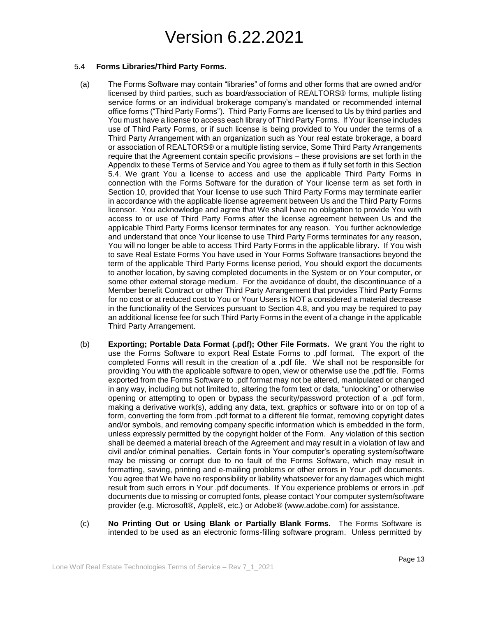### 5.4 **Forms Libraries/Third Party Forms**.

- (a) The Forms Software may contain "libraries" of forms and other forms that are owned and/or licensed by third parties, such as board/association of REALTORS® forms, multiple listing service forms or an individual brokerage company's mandated or recommended internal office forms ("Third Party Forms"). Third Party Forms are licensed to Us by third parties and You must have a license to access each library of Third Party Forms. If Your license includes use of Third Party Forms, or if such license is being provided to You under the terms of a Third Party Arrangement with an organization such as Your real estate brokerage, a board or association of REALTORS® or a multiple listing service, Some Third Party Arrangements require that the Agreement contain specific provisions – these provisions are set forth in the Appendix to these Terms of Service and You agree to them as if fully set forth in this Section 5.4. We grant You a license to access and use the applicable Third Party Forms in connection with the Forms Software for the duration of Your license term as set forth in Section 10, provided that Your license to use such Third Party Forms may terminate earlier in accordance with the applicable license agreement between Us and the Third Party Forms licensor. You acknowledge and agree that We shall have no obligation to provide You with access to or use of Third Party Forms after the license agreement between Us and the applicable Third Party Forms licensor terminates for any reason. You further acknowledge and understand that once Your license to use Third Party Forms terminates for any reason, You will no longer be able to access Third Party Forms in the applicable library. If You wish to save Real Estate Forms You have used in Your Forms Software transactions beyond the term of the applicable Third Party Forms license period, You should export the documents to another location, by saving completed documents in the System or on Your computer, or some other external storage medium. For the avoidance of doubt, the discontinuance of a Member benefit Contract or other Third Party Arrangement that provides Third Party Forms for no cost or at reduced cost to You or Your Users is NOT a considered a material decrease in the functionality of the Services pursuant to Section 4.8, and you may be required to pay an additional license fee for such Third Party Forms in the event of a change in the applicable Third Party Arrangement.
- (b) **Exporting; Portable Data Format (.pdf); Other File Formats.** We grant You the right to use the Forms Software to export Real Estate Forms to .pdf format. The export of the completed Forms will result in the creation of a .pdf file. We shall not be responsible for providing You with the applicable software to open, view or otherwise use the .pdf file. Forms exported from the Forms Software to .pdf format may not be altered, manipulated or changed in any way, including but not limited to, altering the form text or data, "unlocking" or otherwise opening or attempting to open or bypass the security/password protection of a .pdf form, making a derivative work(s), adding any data, text, graphics or software into or on top of a form, converting the form from .pdf format to a different file format, removing copyright dates and/or symbols, and removing company specific information which is embedded in the form, unless expressly permitted by the copyright holder of the Form. Any violation of this section shall be deemed a material breach of the Agreement and may result in a violation of law and civil and/or criminal penalties. Certain fonts in Your computer's operating system/software may be missing or corrupt due to no fault of the Forms Software, which may result in formatting, saving, printing and e-mailing problems or other errors in Your .pdf documents. You agree that We have no responsibility or liability whatsoever for any damages which might result from such errors in Your .pdf documents. If You experience problems or errors in .pdf documents due to missing or corrupted fonts, please contact Your computer system/software provider (e.g. Microsoft®, Apple®, etc.) or Adobe® (www.adobe.com) for assistance.
- (c) **No Printing Out or Using Blank or Partially Blank Forms.** The Forms Software is intended to be used as an electronic forms-filling software program. Unless permitted by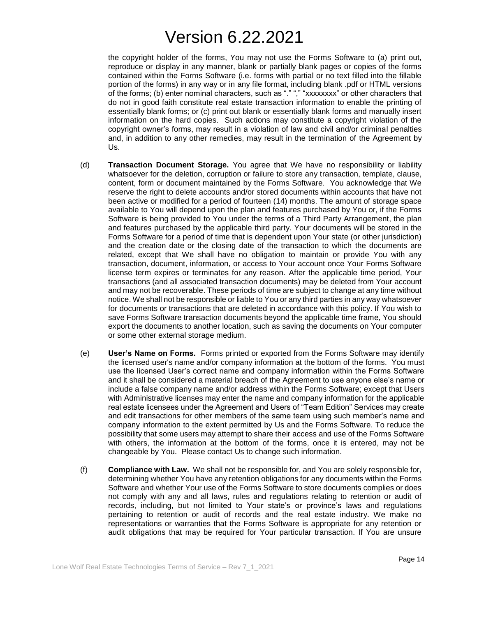the copyright holder of the forms, You may not use the Forms Software to (a) print out, reproduce or display in any manner, blank or partially blank pages or copies of the forms contained within the Forms Software (i.e. forms with partial or no text filled into the fillable portion of the forms) in any way or in any file format, including blank .pdf or HTML versions of the forms; (b) enter nominal characters, such as "." "," "xxxxxxxx" or other characters that do not in good faith constitute real estate transaction information to enable the printing of essentially blank forms; or (c) print out blank or essentially blank forms and manually insert information on the hard copies. Such actions may constitute a copyright violation of the copyright owner's forms, may result in a violation of law and civil and/or criminal penalties and, in addition to any other remedies, may result in the termination of the Agreement by Us.

- (d) **Transaction Document Storage.** You agree that We have no responsibility or liability whatsoever for the deletion, corruption or failure to store any transaction, template, clause, content, form or document maintained by the Forms Software. You acknowledge that We reserve the right to delete accounts and/or stored documents within accounts that have not been active or modified for a period of fourteen (14) months. The amount of storage space available to You will depend upon the plan and features purchased by You or, if the Forms Software is being provided to You under the terms of a Third Party Arrangement, the plan and features purchased by the applicable third party. Your documents will be stored in the Forms Software for a period of time that is dependent upon Your state (or other jurisdiction) and the creation date or the closing date of the transaction to which the documents are related, except that We shall have no obligation to maintain or provide You with any transaction, document, information, or access to Your account once Your Forms Software license term expires or terminates for any reason. After the applicable time period, Your transactions (and all associated transaction documents) may be deleted from Your account and may not be recoverable. These periods of time are subject to change at any time without notice. We shall not be responsible or liable to You or any third parties in any way whatsoever for documents or transactions that are deleted in accordance with this policy. If You wish to save Forms Software transaction documents beyond the applicable time frame, You should export the documents to another location, such as saving the documents on Your computer or some other external storage medium.
- (e) **User's Name on Forms.** Forms printed or exported from the Forms Software may identify the licensed user's name and/or company information at the bottom of the forms. You must use the licensed User's correct name and company information within the Forms Software and it shall be considered a material breach of the Agreement to use anyone else's name or include a false company name and/or address within the Forms Software; except that Users with Administrative licenses may enter the name and company information for the applicable real estate licensees under the Agreement and Users of "Team Edition" Services may create and edit transactions for other members of the same team using such member's name and company information to the extent permitted by Us and the Forms Software. To reduce the possibility that some users may attempt to share their access and use of the Forms Software with others, the information at the bottom of the forms, once it is entered, may not be changeable by You. Please contact Us to change such information.
- (f) **Compliance with Law.** We shall not be responsible for, and You are solely responsible for, determining whether You have any retention obligations for any documents within the Forms Software and whether Your use of the Forms Software to store documents complies or does not comply with any and all laws, rules and regulations relating to retention or audit of records, including, but not limited to Your state's or province's laws and regulations pertaining to retention or audit of records and the real estate industry. We make no representations or warranties that the Forms Software is appropriate for any retention or audit obligations that may be required for Your particular transaction. If You are unsure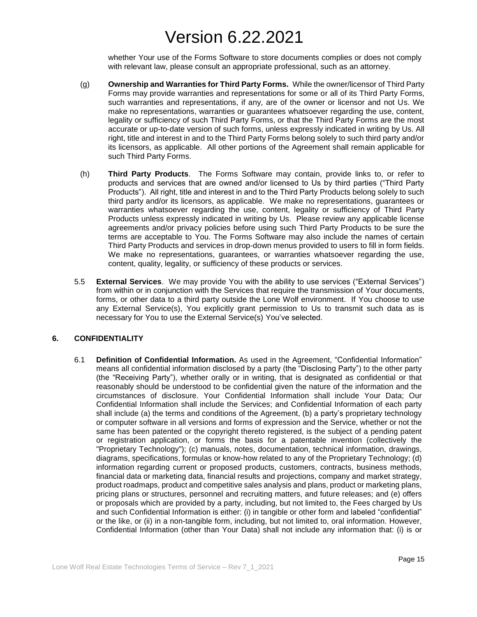whether Your use of the Forms Software to store documents complies or does not comply with relevant law, please consult an appropriate professional, such as an attorney.

- (g) **Ownership and Warranties for Third Party Forms.** While the owner/licensor of Third Party Forms may provide warranties and representations for some or all of its Third Party Forms, such warranties and representations, if any, are of the owner or licensor and not Us. We make no representations, warranties or guarantees whatsoever regarding the use, content, legality or sufficiency of such Third Party Forms, or that the Third Party Forms are the most accurate or up-to-date version of such forms, unless expressly indicated in writing by Us. All right, title and interest in and to the Third Party Forms belong solely to such third party and/or its licensors, as applicable. All other portions of the Agreement shall remain applicable for such Third Party Forms.
- (h) **Third Party Products**. The Forms Software may contain, provide links to, or refer to products and services that are owned and/or licensed to Us by third parties ("Third Party Products"). All right, title and interest in and to the Third Party Products belong solely to such third party and/or its licensors, as applicable. We make no representations, guarantees or warranties whatsoever regarding the use, content, legality or sufficiency of Third Party Products unless expressly indicated in writing by Us. Please review any applicable license agreements and/or privacy policies before using such Third Party Products to be sure the terms are acceptable to You. The Forms Software may also include the names of certain Third Party Products and services in drop-down menus provided to users to fill in form fields. We make no representations, guarantees, or warranties whatsoever regarding the use, content, quality, legality, or sufficiency of these products or services.
- 5.5 **External Services**. We may provide You with the ability to use services ("External Services") from within or in conjunction with the Services that require the transmission of Your documents, forms, or other data to a third party outside the Lone Wolf environment. If You choose to use any External Service(s), You explicitly grant permission to Us to transmit such data as is necessary for You to use the External Service(s) You've selected.

### **6. CONFIDENTIALITY**

6.1 **Definition of Confidential Information.** As used in the Agreement, "Confidential Information" means all confidential information disclosed by a party (the "Disclosing Party") to the other party (the "Receiving Party"), whether orally or in writing, that is designated as confidential or that reasonably should be understood to be confidential given the nature of the information and the circumstances of disclosure. Your Confidential Information shall include Your Data; Our Confidential Information shall include the Services; and Confidential Information of each party shall include (a) the terms and conditions of the Agreement, (b) a party's proprietary technology or computer software in all versions and forms of expression and the Service, whether or not the same has been patented or the copyright thereto registered, is the subject of a pending patent or registration application, or forms the basis for a patentable invention (collectively the "Proprietary Technology"); (c) manuals, notes, documentation, technical information, drawings, diagrams, specifications, formulas or know-how related to any of the Proprietary Technology; (d) information regarding current or proposed products, customers, contracts, business methods, financial data or marketing data, financial results and projections, company and market strategy, product roadmaps, product and competitive sales analysis and plans, product or marketing plans, pricing plans or structures, personnel and recruiting matters, and future releases; and (e) offers or proposals which are provided by a party, including, but not limited to, the Fees charged by Us and such Confidential Information is either: (i) in tangible or other form and labeled "confidential" or the like, or (ii) in a non-tangible form, including, but not limited to, oral information. However, Confidential Information (other than Your Data) shall not include any information that: (i) is or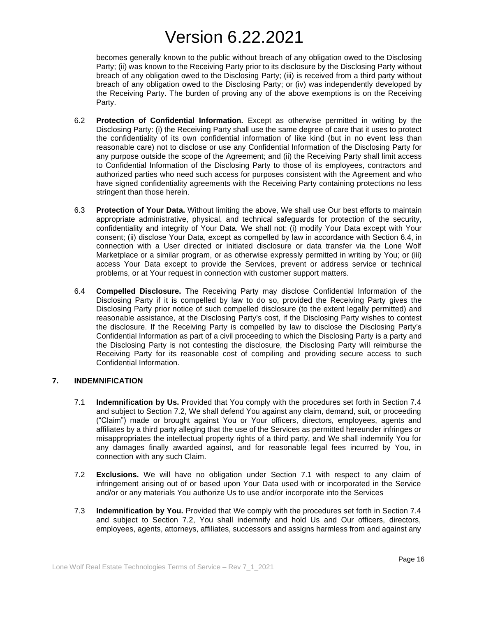becomes generally known to the public without breach of any obligation owed to the Disclosing Party; (ii) was known to the Receiving Party prior to its disclosure by the Disclosing Party without breach of any obligation owed to the Disclosing Party; (iii) is received from a third party without breach of any obligation owed to the Disclosing Party; or (iv) was independently developed by the Receiving Party. The burden of proving any of the above exemptions is on the Receiving Party.

- 6.2 **Protection of Confidential Information.** Except as otherwise permitted in writing by the Disclosing Party: (i) the Receiving Party shall use the same degree of care that it uses to protect the confidentiality of its own confidential information of like kind (but in no event less than reasonable care) not to disclose or use any Confidential Information of the Disclosing Party for any purpose outside the scope of the Agreement; and (ii) the Receiving Party shall limit access to Confidential Information of the Disclosing Party to those of its employees, contractors and authorized parties who need such access for purposes consistent with the Agreement and who have signed confidentiality agreements with the Receiving Party containing protections no less stringent than those herein.
- 6.3 **Protection of Your Data.** Without limiting the above, We shall use Our best efforts to maintain appropriate administrative, physical, and technical safeguards for protection of the security, confidentiality and integrity of Your Data. We shall not: (i) modify Your Data except with Your consent; (ii) disclose Your Data, except as compelled by law in accordance with Section 6.4, in connection with a User directed or initiated disclosure or data transfer via the Lone Wolf Marketplace or a similar program, or as otherwise expressly permitted in writing by You; or (iii) access Your Data except to provide the Services, prevent or address service or technical problems, or at Your request in connection with customer support matters.
- 6.4 **Compelled Disclosure.** The Receiving Party may disclose Confidential Information of the Disclosing Party if it is compelled by law to do so, provided the Receiving Party gives the Disclosing Party prior notice of such compelled disclosure (to the extent legally permitted) and reasonable assistance, at the Disclosing Party's cost, if the Disclosing Party wishes to contest the disclosure. If the Receiving Party is compelled by law to disclose the Disclosing Party's Confidential Information as part of a civil proceeding to which the Disclosing Party is a party and the Disclosing Party is not contesting the disclosure, the Disclosing Party will reimburse the Receiving Party for its reasonable cost of compiling and providing secure access to such Confidential Information.

### **7. INDEMNIFICATION**

- 7.1 **Indemnification by Us.** Provided that You comply with the procedures set forth in Section 7.4 and subject to Section 7.2, We shall defend You against any claim, demand, suit, or proceeding ("Claim") made or brought against You or Your officers, directors, employees, agents and affiliates by a third party alleging that the use of the Services as permitted hereunder infringes or misappropriates the intellectual property rights of a third party, and We shall indemnify You for any damages finally awarded against, and for reasonable legal fees incurred by You, in connection with any such Claim.
- 7.2 **Exclusions.** We will have no obligation under Section 7.1 with respect to any claim of infringement arising out of or based upon Your Data used with or incorporated in the Service and/or or any materials You authorize Us to use and/or incorporate into the Services
- 7.3 **Indemnification by You.** Provided that We comply with the procedures set forth in Section 7.4 and subject to Section 7.2, You shall indemnify and hold Us and Our officers, directors, employees, agents, attorneys, affiliates, successors and assigns harmless from and against any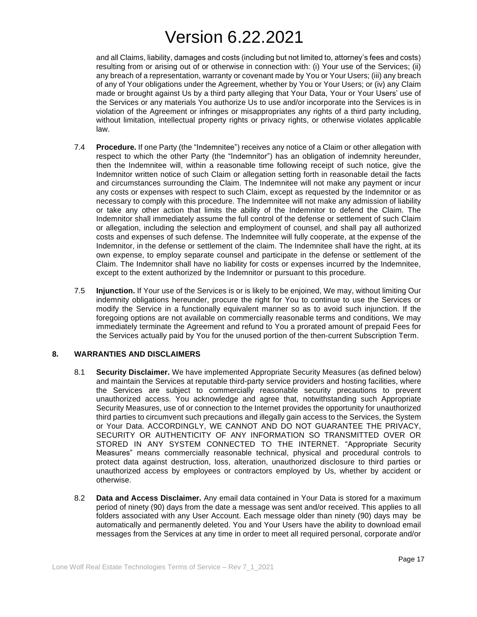and all Claims, liability, damages and costs (including but not limited to, attorney's fees and costs) resulting from or arising out of or otherwise in connection with: (i) Your use of the Services; (ii) any breach of a representation, warranty or covenant made by You or Your Users; (iii) any breach of any of Your obligations under the Agreement, whether by You or Your Users; or (iv) any Claim made or brought against Us by a third party alleging that Your Data, Your or Your Users' use of the Services or any materials You authorize Us to use and/or incorporate into the Services is in violation of the Agreement or infringes or misappropriates any rights of a third party including, without limitation, intellectual property rights or privacy rights, or otherwise violates applicable law.

- 7.4 **Procedure.** If one Party (the "Indemnitee") receives any notice of a Claim or other allegation with respect to which the other Party (the "Indemnitor") has an obligation of indemnity hereunder, then the Indemnitee will, within a reasonable time following receipt of such notice, give the Indemnitor written notice of such Claim or allegation setting forth in reasonable detail the facts and circumstances surrounding the Claim. The Indemnitee will not make any payment or incur any costs or expenses with respect to such Claim, except as requested by the Indemnitor or as necessary to comply with this procedure. The Indemnitee will not make any admission of liability or take any other action that limits the ability of the Indemnitor to defend the Claim. The Indemnitor shall immediately assume the full control of the defense or settlement of such Claim or allegation, including the selection and employment of counsel, and shall pay all authorized costs and expenses of such defense. The Indemnitee will fully cooperate, at the expense of the Indemnitor, in the defense or settlement of the claim. The Indemnitee shall have the right, at its own expense, to employ separate counsel and participate in the defense or settlement of the Claim. The Indemnitor shall have no liability for costs or expenses incurred by the Indemnitee, except to the extent authorized by the Indemnitor or pursuant to this procedure.
- 7.5 **Injunction.** If Your use of the Services is or is likely to be enjoined, We may, without limiting Our indemnity obligations hereunder, procure the right for You to continue to use the Services or modify the Service in a functionally equivalent manner so as to avoid such injunction. If the foregoing options are not available on commercially reasonable terms and conditions, We may immediately terminate the Agreement and refund to You a prorated amount of prepaid Fees for the Services actually paid by You for the unused portion of the then-current Subscription Term.

### **8. WARRANTIES AND DISCLAIMERS**

- 8.1 **Security Disclaimer.** We have implemented Appropriate Security Measures (as defined below) and maintain the Services at reputable third-party service providers and hosting facilities, where the Services are subject to commercially reasonable security precautions to prevent unauthorized access. You acknowledge and agree that, notwithstanding such Appropriate Security Measures, use of or connection to the Internet provides the opportunity for unauthorized third parties to circumvent such precautions and illegally gain access to the Services, the System or Your Data. ACCORDINGLY, WE CANNOT AND DO NOT GUARANTEE THE PRIVACY, SECURITY OR AUTHENTICITY OF ANY INFORMATION SO TRANSMITTED OVER OR STORED IN ANY SYSTEM CONNECTED TO THE INTERNET. "Appropriate Security Measures" means commercially reasonable technical, physical and procedural controls to protect data against destruction, loss, alteration, unauthorized disclosure to third parties or unauthorized access by employees or contractors employed by Us, whether by accident or otherwise.
- 8.2 **Data and Access Disclaimer.** Any email data contained in Your Data is stored for a maximum period of ninety (90) days from the date a message was sent and/or received. This applies to all folders associated with any User Account. Each message older than ninety (90) days may be automatically and permanently deleted. You and Your Users have the ability to download email messages from the Services at any time in order to meet all required personal, corporate and/or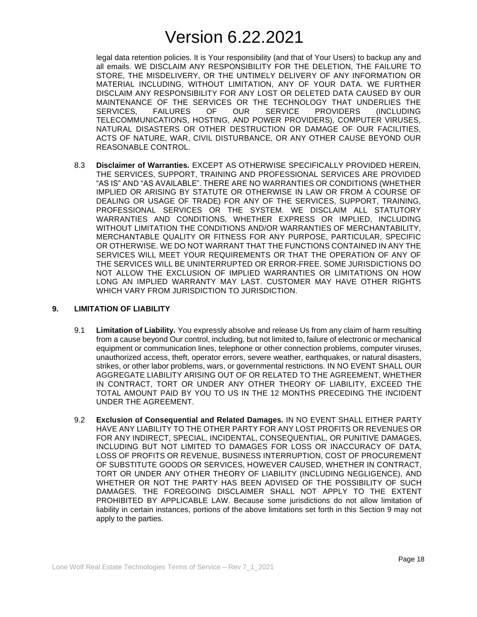legal data retention policies. It is Your responsibility (and that of Your Users) to backup any and all emails. WE DISCLAIM ANY RESPONSIBILITY FOR THE DELETION, THE FAILURE TO STORE, THE MISDELIVERY, OR THE UNTIMELY DELIVERY OF ANY INFORMATION OR MATERIAL INCLUDING, WITHOUT LIMITATION, ANY OF YOUR DATA. WE FURTHER DISCLAIM ANY RESPONSIBILITY FOR ANY LOST OR DELETED DATA CAUSED BY OUR MAINTENANCE OF THE SERVICES OR THE TECHNOLOGY THAT UNDERLIES THE SERVICES, FAILURES OF OUR SERVICE PROVIDERS (INCLUDING TELECOMMUNICATIONS, HOSTING, AND POWER PROVIDERS), COMPUTER VIRUSES, NATURAL DISASTERS OR OTHER DESTRUCTION OR DAMAGE OF OUR FACILITIES, ACTS OF NATURE, WAR, CIVIL DISTURBANCE, OR ANY OTHER CAUSE BEYOND OUR REASONABLE CONTROL.

8.3 **Disclaimer of Warranties.** EXCEPT AS OTHERWISE SPECIFICALLY PROVIDED HEREIN, THE SERVICES, SUPPORT, TRAINING AND PROFESSIONAL SERVICES ARE PROVIDED "AS IS" AND "AS AVAILABLE". THERE ARE NO WARRANTIES OR CONDITIONS (WHETHER IMPLIED OR ARISING BY STATUTE OR OTHERWISE IN LAW OR FROM A COURSE OF DEALING OR USAGE OF TRADE) FOR ANY OF THE SERVICES, SUPPORT, TRAINING, PROFESSIONAL SERVICES OR THE SYSTEM. WE DISCLAIM ALL STATUTORY WARRANTIES AND CONDITIONS, WHETHER EXPRESS OR IMPLIED, INCLUDING WITHOUT LIMITATION THE CONDITIONS AND/OR WARRANTIES OF MERCHANTABILITY, MERCHANTABLE QUALITY OR FITNESS FOR ANY PURPOSE, PARTICULAR, SPECIFIC OR OTHERWISE. WE DO NOT WARRANT THAT THE FUNCTIONS CONTAINED IN ANY THE SERVICES WILL MEET YOUR REQUIREMENTS OR THAT THE OPERATION OF ANY OF THE SERVICES WILL BE UNINTERRUPTED OR ERROR-FREE. SOME JURISDICTIONS DO NOT ALLOW THE EXCLUSION OF IMPLIED WARRANTIES OR LIMITATIONS ON HOW LONG AN IMPLIED WARRANTY MAY LAST. CUSTOMER MAY HAVE OTHER RIGHTS WHICH VARY FROM JURISDICTION TO JURISDICTION.

### **9. LIMITATION OF LIABILITY**

- 9.1 **Limitation of Liability.** You expressly absolve and release Us from any claim of harm resulting from a cause beyond Our control, including, but not limited to, failure of electronic or mechanical equipment or communication lines, telephone or other connection problems, computer viruses, unauthorized access, theft, operator errors, severe weather, earthquakes, or natural disasters, strikes, or other labor problems, wars, or governmental restrictions. IN NO EVENT SHALL OUR AGGREGATE LIABILITY ARISING OUT OF OR RELATED TO THE AGREEMENT, WHETHER IN CONTRACT, TORT OR UNDER ANY OTHER THEORY OF LIABILITY, EXCEED THE TOTAL AMOUNT PAID BY YOU TO US IN THE 12 MONTHS PRECEDING THE INCIDENT UNDER THE AGREEMENT.
- 9.2 **Exclusion of Consequential and Related Damages.** IN NO EVENT SHALL EITHER PARTY HAVE ANY LIABILITY TO THE OTHER PARTY FOR ANY LOST PROFITS OR REVENUES OR FOR ANY INDIRECT, SPECIAL, INCIDENTAL, CONSEQUENTIAL, OR PUNITIVE DAMAGES, INCLUDING BUT NOT LIMITED TO DAMAGES FOR LOSS OR INACCURACY OF DATA, LOSS OF PROFITS OR REVENUE, BUSINESS INTERRUPTION, COST OF PROCUREMENT OF SUBSTITUTE GOODS OR SERVICES, HOWEVER CAUSED, WHETHER IN CONTRACT, TORT OR UNDER ANY OTHER THEORY OF LIABILITY (INCLUDING NEGLIGENCE), AND WHETHER OR NOT THE PARTY HAS BEEN ADVISED OF THE POSSIBILITY OF SUCH DAMAGES. THE FOREGOING DISCLAIMER SHALL NOT APPLY TO THE EXTENT PROHIBITED BY APPLICABLE LAW. Because some jurisdictions do not allow limitation of liability in certain instances, portions of the above limitations set forth in this Section 9 may not apply to the parties.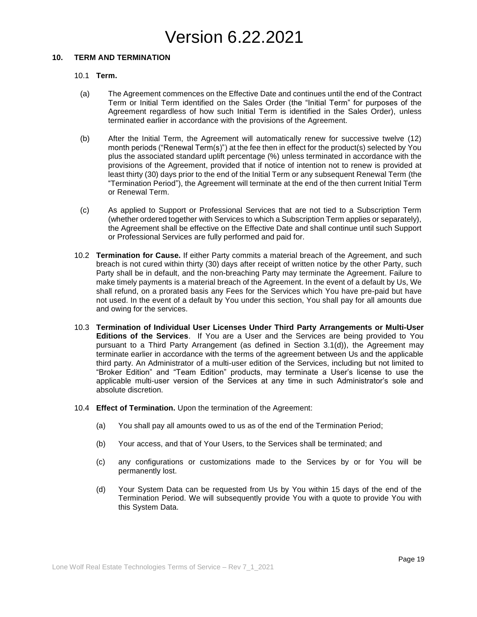### **10. TERM AND TERMINATION**

#### 10.1 **Term.**

- (a) The Agreement commences on the Effective Date and continues until the end of the Contract Term or Initial Term identified on the Sales Order (the "Initial Term" for purposes of the Agreement regardless of how such Initial Term is identified in the Sales Order), unless terminated earlier in accordance with the provisions of the Agreement.
- (b) After the Initial Term, the Agreement will automatically renew for successive twelve (12) month periods ("Renewal Term(s)") at the fee then in effect for the product(s) selected by You plus the associated standard uplift percentage (%) unless terminated in accordance with the provisions of the Agreement, provided that if notice of intention not to renew is provided at least thirty (30) days prior to the end of the Initial Term or any subsequent Renewal Term (the "Termination Period"), the Agreement will terminate at the end of the then current Initial Term or Renewal Term.
- (c) As applied to Support or Professional Services that are not tied to a Subscription Term (whether ordered together with Services to which a Subscription Term applies or separately), the Agreement shall be effective on the Effective Date and shall continue until such Support or Professional Services are fully performed and paid for.
- 10.2 **Termination for Cause.** If either Party commits a material breach of the Agreement, and such breach is not cured within thirty (30) days after receipt of written notice by the other Party, such Party shall be in default, and the non-breaching Party may terminate the Agreement. Failure to make timely payments is a material breach of the Agreement. In the event of a default by Us, We shall refund, on a prorated basis any Fees for the Services which You have pre-paid but have not used. In the event of a default by You under this section, You shall pay for all amounts due and owing for the services.
- 10.3 **Termination of Individual User Licenses Under Third Party Arrangements or Multi-User Editions of the Services**. If You are a User and the Services are being provided to You pursuant to a Third Party Arrangement (as defined in Section 3.1(d)), the Agreement may terminate earlier in accordance with the terms of the agreement between Us and the applicable third party. An Administrator of a multi-user edition of the Services, including but not limited to "Broker Edition" and "Team Edition" products, may terminate a User's license to use the applicable multi-user version of the Services at any time in such Administrator's sole and absolute discretion.
- 10.4 **Effect of Termination.** Upon the termination of the Agreement:
	- (a) You shall pay all amounts owed to us as of the end of the Termination Period;
	- (b) Your access, and that of Your Users, to the Services shall be terminated; and
	- (c) any configurations or customizations made to the Services by or for You will be permanently lost.
	- (d) Your System Data can be requested from Us by You within 15 days of the end of the Termination Period. We will subsequently provide You with a quote to provide You with this System Data.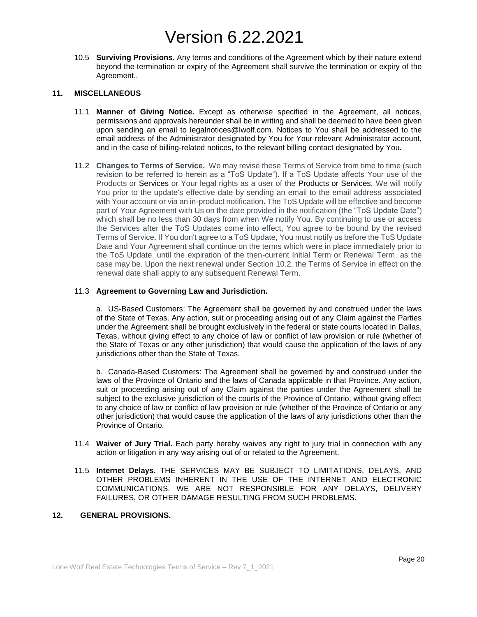10.5 **Surviving Provisions.** Any terms and conditions of the Agreement which by their nature extend beyond the termination or expiry of the Agreement shall survive the termination or expiry of the Agreement..

#### **11. MISCELLANEOUS**

- 11.1 **Manner of Giving Notice.** Except as otherwise specified in the Agreement, all notices, permissions and approvals hereunder shall be in writing and shall be deemed to have been given upon sending an email to legalnotices@lwolf.com. Notices to You shall be addressed to the email address of the Administrator designated by You for Your relevant Administrator account, and in the case of billing-related notices, to the relevant billing contact designated by You.
- 11.2 **Changes to Terms of Service.** We may revise these Terms of Service from time to time (such revision to be referred to herein as a "ToS Update"). If a ToS Update affects Your use of the Products or Services or Your legal rights as a user of the Products or Services, We will notify You prior to the update's effective date by sending an email to the email address associated with Your account or via an in-product notification. The ToS Update will be effective and become part of Your Agreement with Us on the date provided in the notification (the "ToS Update Date") which shall be no less than 30 days from when We notify You. By continuing to use or access the Services after the ToS Updates come into effect, You agree to be bound by the revised Terms of Service. If You don't agree to a ToS Update, You must notify us before the ToS Update Date and Your Agreement shall continue on the terms which were in place immediately prior to the ToS Update, until the expiration of the then-current Initial Term or Renewal Term, as the case may be. Upon the next renewal under Section 10.2, the Terms of Service in effect on the renewal date shall apply to any subsequent Renewal Term.

#### 11.3 **Agreement to Governing Law and Jurisdiction.**

a. US-Based Customers: The Agreement shall be governed by and construed under the laws of the State of Texas. Any action, suit or proceeding arising out of any Claim against the Parties under the Agreement shall be brought exclusively in the federal or state courts located in Dallas, Texas, without giving effect to any choice of law or conflict of law provision or rule (whether of the State of Texas or any other jurisdiction) that would cause the application of the laws of any jurisdictions other than the State of Texas.

b. Canada-Based Customers: The Agreement shall be governed by and construed under the laws of the Province of Ontario and the laws of Canada applicable in that Province. Any action, suit or proceeding arising out of any Claim against the parties under the Agreement shall be subject to the exclusive jurisdiction of the courts of the Province of Ontario, without giving effect to any choice of law or conflict of law provision or rule (whether of the Province of Ontario or any other jurisdiction) that would cause the application of the laws of any jurisdictions other than the Province of Ontario.

- 11.4 **Waiver of Jury Trial.** Each party hereby waives any right to jury trial in connection with any action or litigation in any way arising out of or related to the Agreement.
- 11.5 **Internet Delays.** THE SERVICES MAY BE SUBJECT TO LIMITATIONS, DELAYS, AND OTHER PROBLEMS INHERENT IN THE USE OF THE INTERNET AND ELECTRONIC COMMUNICATIONS. WE ARE NOT RESPONSIBLE FOR ANY DELAYS, DELIVERY FAILURES, OR OTHER DAMAGE RESULTING FROM SUCH PROBLEMS.

### **12. GENERAL PROVISIONS.**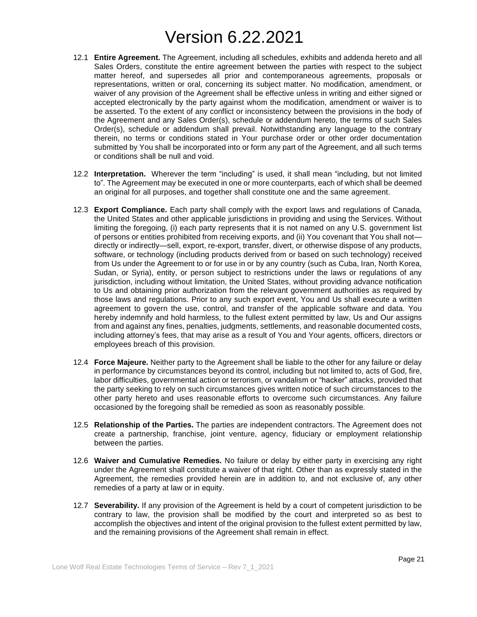- 12.1 **Entire Agreement.** The Agreement, including all schedules, exhibits and addenda hereto and all Sales Orders, constitute the entire agreement between the parties with respect to the subject matter hereof, and supersedes all prior and contemporaneous agreements, proposals or representations, written or oral, concerning its subject matter. No modification, amendment, or waiver of any provision of the Agreement shall be effective unless in writing and either signed or accepted electronically by the party against whom the modification, amendment or waiver is to be asserted. To the extent of any conflict or inconsistency between the provisions in the body of the Agreement and any Sales Order(s), schedule or addendum hereto, the terms of such Sales Order(s), schedule or addendum shall prevail. Notwithstanding any language to the contrary therein, no terms or conditions stated in Your purchase order or other order documentation submitted by You shall be incorporated into or form any part of the Agreement, and all such terms or conditions shall be null and void.
- 12.2 **Interpretation.** Wherever the term "including" is used, it shall mean "including, but not limited to". The Agreement may be executed in one or more counterparts, each of which shall be deemed an original for all purposes, and together shall constitute one and the same agreement.
- 12.3 **Export Compliance.** Each party shall comply with the export laws and regulations of Canada, the United States and other applicable jurisdictions in providing and using the Services. Without limiting the foregoing, (i) each party represents that it is not named on any U.S. government list of persons or entities prohibited from receiving exports, and (ii) You covenant that You shall not directly or indirectly—sell, export, re-export, transfer, divert, or otherwise dispose of any products, software, or technology (including products derived from or based on such technology) received from Us under the Agreement to or for use in or by any country (such as Cuba, Iran, North Korea, Sudan, or Syria), entity, or person subject to restrictions under the laws or regulations of any jurisdiction, including without limitation, the United States, without providing advance notification to Us and obtaining prior authorization from the relevant government authorities as required by those laws and regulations. Prior to any such export event, You and Us shall execute a written agreement to govern the use, control, and transfer of the applicable software and data. You hereby indemnify and hold harmless, to the fullest extent permitted by law, Us and Our assigns from and against any fines, penalties, judgments, settlements, and reasonable documented costs, including attorney's fees, that may arise as a result of You and Your agents, officers, directors or employees breach of this provision.
- 12.4 **Force Majeure.** Neither party to the Agreement shall be liable to the other for any failure or delay in performance by circumstances beyond its control, including but not limited to, acts of God, fire, labor difficulties, governmental action or terrorism, or vandalism or "hacker" attacks, provided that the party seeking to rely on such circumstances gives written notice of such circumstances to the other party hereto and uses reasonable efforts to overcome such circumstances. Any failure occasioned by the foregoing shall be remedied as soon as reasonably possible.
- 12.5 **Relationship of the Parties.** The parties are independent contractors. The Agreement does not create a partnership, franchise, joint venture, agency, fiduciary or employment relationship between the parties.
- 12.6 **Waiver and Cumulative Remedies.** No failure or delay by either party in exercising any right under the Agreement shall constitute a waiver of that right. Other than as expressly stated in the Agreement, the remedies provided herein are in addition to, and not exclusive of, any other remedies of a party at law or in equity.
- 12.7 **Severability.** If any provision of the Agreement is held by a court of competent jurisdiction to be contrary to law, the provision shall be modified by the court and interpreted so as best to accomplish the objectives and intent of the original provision to the fullest extent permitted by law, and the remaining provisions of the Agreement shall remain in effect.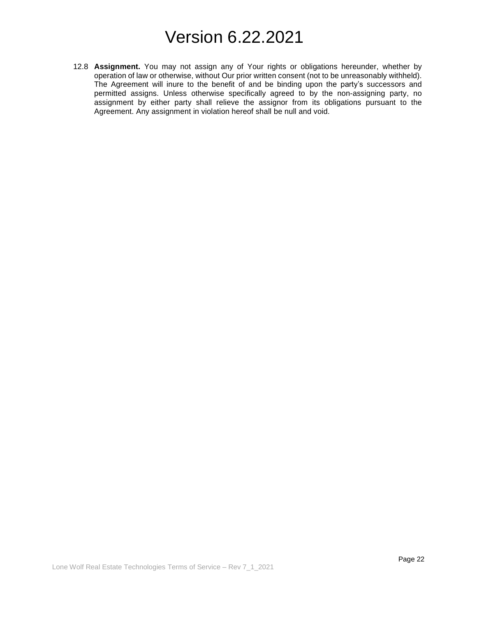12.8 **Assignment.** You may not assign any of Your rights or obligations hereunder, whether by operation of law or otherwise, without Our prior written consent (not to be unreasonably withheld). The Agreement will inure to the benefit of and be binding upon the party's successors and permitted assigns. Unless otherwise specifically agreed to by the non-assigning party, no assignment by either party shall relieve the assignor from its obligations pursuant to the Agreement. Any assignment in violation hereof shall be null and void.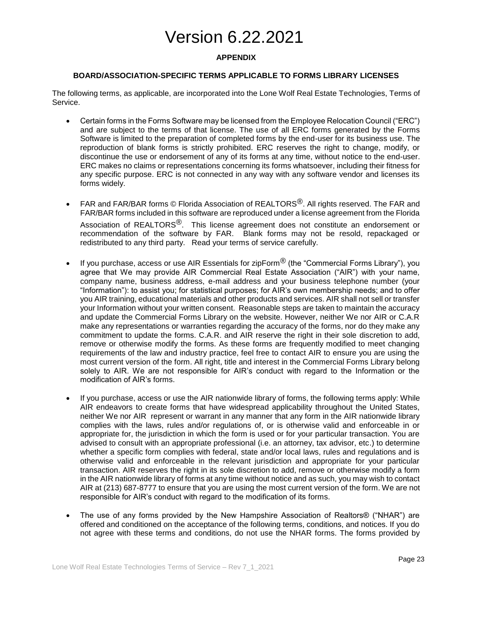### **APPENDIX**

### **BOARD/ASSOCIATION-SPECIFIC TERMS APPLICABLE TO FORMS LIBRARY LICENSES**

The following terms, as applicable, are incorporated into the Lone Wolf Real Estate Technologies, Terms of Service.

- Certain forms in the Forms Software may be licensed from the Employee Relocation Council ("ERC") and are subject to the terms of that license. The use of all ERC forms generated by the Forms Software is limited to the preparation of completed forms by the end-user for its business use. The reproduction of blank forms is strictly prohibited. ERC reserves the right to change, modify, or discontinue the use or endorsement of any of its forms at any time, without notice to the end-user. ERC makes no claims or representations concerning its forms whatsoever, including their fitness for any specific purpose. ERC is not connected in any way with any software vendor and licenses its forms widely.
- FAR and FAR/BAR forms © Florida Association of REALTORS<sup>®</sup>. All rights reserved. The FAR and FAR/BAR forms included in this software are reproduced under a license agreement from the Florida Association of REALTORS<sup>®</sup>. This license agreement does not constitute an endorsement or recommendation of the software by FAR. Blank forms may not be resold, repackaged or redistributed to any third party. Read your terms of service carefully.
- If you purchase, access or use AIR Essentials for zipForm<sup>®</sup> (the "Commercial Forms Library"), you agree that We may provide AIR Commercial Real Estate Association ("AIR") with your name, company name, business address, e-mail address and your business telephone number (your "Information"): to assist you; for statistical purposes; for AIR's own membership needs; and to offer you AIR training, educational materials and other products and services. AIR shall not sell or transfer your Information without your written consent. Reasonable steps are taken to maintain the accuracy and update the Commercial Forms Library on the website. However, neither We nor AIR or C.A.R make any representations or warranties regarding the accuracy of the forms, nor do they make any commitment to update the forms. C.A.R. and AIR reserve the right in their sole discretion to add, remove or otherwise modify the forms. As these forms are frequently modified to meet changing requirements of the law and industry practice, feel free to contact AIR to ensure you are using the most current version of the form. All right, title and interest in the Commercial Forms Library belong solely to AIR. We are not responsible for AIR's conduct with regard to the Information or the modification of AIR's forms.
- If you purchase, access or use the AIR nationwide library of forms, the following terms apply: While AIR endeavors to create forms that have widespread applicability throughout the United States, neither We nor AIR represent or warrant in any manner that any form in the AIR nationwide library complies with the laws, rules and/or regulations of, or is otherwise valid and enforceable in or appropriate for, the jurisdiction in which the form is used or for your particular transaction. You are advised to consult with an appropriate professional (i.e. an attorney, tax advisor, etc.) to determine whether a specific form complies with federal, state and/or local laws, rules and regulations and is otherwise valid and enforceable in the relevant jurisdiction and appropriate for your particular transaction. AIR reserves the right in its sole discretion to add, remove or otherwise modify a form in the AIR nationwide library of forms at any time without notice and as such, you may wish to contact AIR at (213) 687-8777 to ensure that you are using the most current version of the form. We are not responsible for AIR's conduct with regard to the modification of its forms.
- The use of any forms provided by the New Hampshire Association of Realtors® ("NHAR") are offered and conditioned on the acceptance of the following terms, conditions, and notices. If you do not agree with these terms and conditions, do not use the NHAR forms. The forms provided by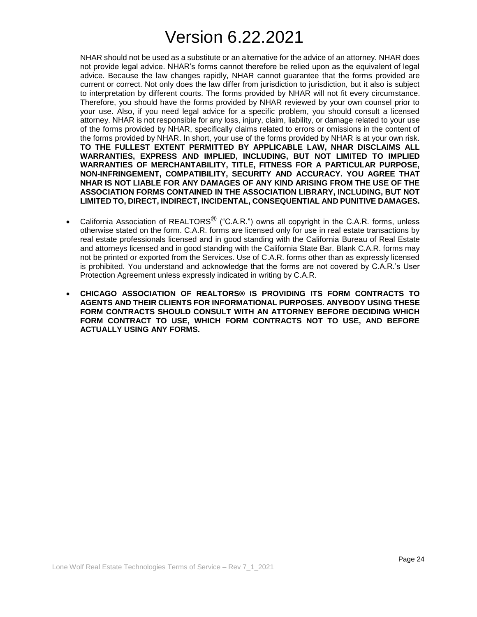NHAR should not be used as a substitute or an alternative for the advice of an attorney. NHAR does not provide legal advice. NHAR's forms cannot therefore be relied upon as the equivalent of legal advice. Because the law changes rapidly, NHAR cannot guarantee that the forms provided are current or correct. Not only does the law differ from jurisdiction to jurisdiction, but it also is subject to interpretation by different courts. The forms provided by NHAR will not fit every circumstance. Therefore, you should have the forms provided by NHAR reviewed by your own counsel prior to your use. Also, if you need legal advice for a specific problem, you should consult a licensed attorney. NHAR is not responsible for any loss, injury, claim, liability, or damage related to your use of the forms provided by NHAR, specifically claims related to errors or omissions in the content of the forms provided by NHAR. In short, your use of the forms provided by NHAR is at your own risk. **TO THE FULLEST EXTENT PERMITTED BY APPLICABLE LAW, NHAR DISCLAIMS ALL WARRANTIES, EXPRESS AND IMPLIED, INCLUDING, BUT NOT LIMITED TO IMPLIED WARRANTIES OF MERCHANTABILITY, TITLE, FITNESS FOR A PARTICULAR PURPOSE, NON-INFRINGEMENT, COMPATIBILITY, SECURITY AND ACCURACY. YOU AGREE THAT NHAR IS NOT LIABLE FOR ANY DAMAGES OF ANY KIND ARISING FROM THE USE OF THE ASSOCIATION FORMS CONTAINED IN THE ASSOCIATION LIBRARY, INCLUDING, BUT NOT LIMITED TO, DIRECT, INDIRECT, INCIDENTAL, CONSEQUENTIAL AND PUNITIVE DAMAGES.**

- California Association of REALTORS<sup>®</sup> ("C.A.R.") owns all copyright in the C.A.R. forms, unless otherwise stated on the form. C.A.R. forms are licensed only for use in real estate transactions by real estate professionals licensed and in good standing with the California Bureau of Real Estate and attorneys licensed and in good standing with the California State Bar. Blank C.A.R. forms may not be printed or exported from the Services. Use of C.A.R. forms other than as expressly licensed is prohibited. You understand and acknowledge that the forms are not covered by C.A.R.'s User Protection Agreement unless expressly indicated in writing by C.A.R.
- **CHICAGO ASSOCIATION OF REALTORS® IS PROVIDING ITS FORM CONTRACTS TO AGENTS AND THEIR CLIENTS FOR INFORMATIONAL PURPOSES. ANYBODY USING THESE FORM CONTRACTS SHOULD CONSULT WITH AN ATTORNEY BEFORE DECIDING WHICH FORM CONTRACT TO USE, WHICH FORM CONTRACTS NOT TO USE, AND BEFORE ACTUALLY USING ANY FORMS.**